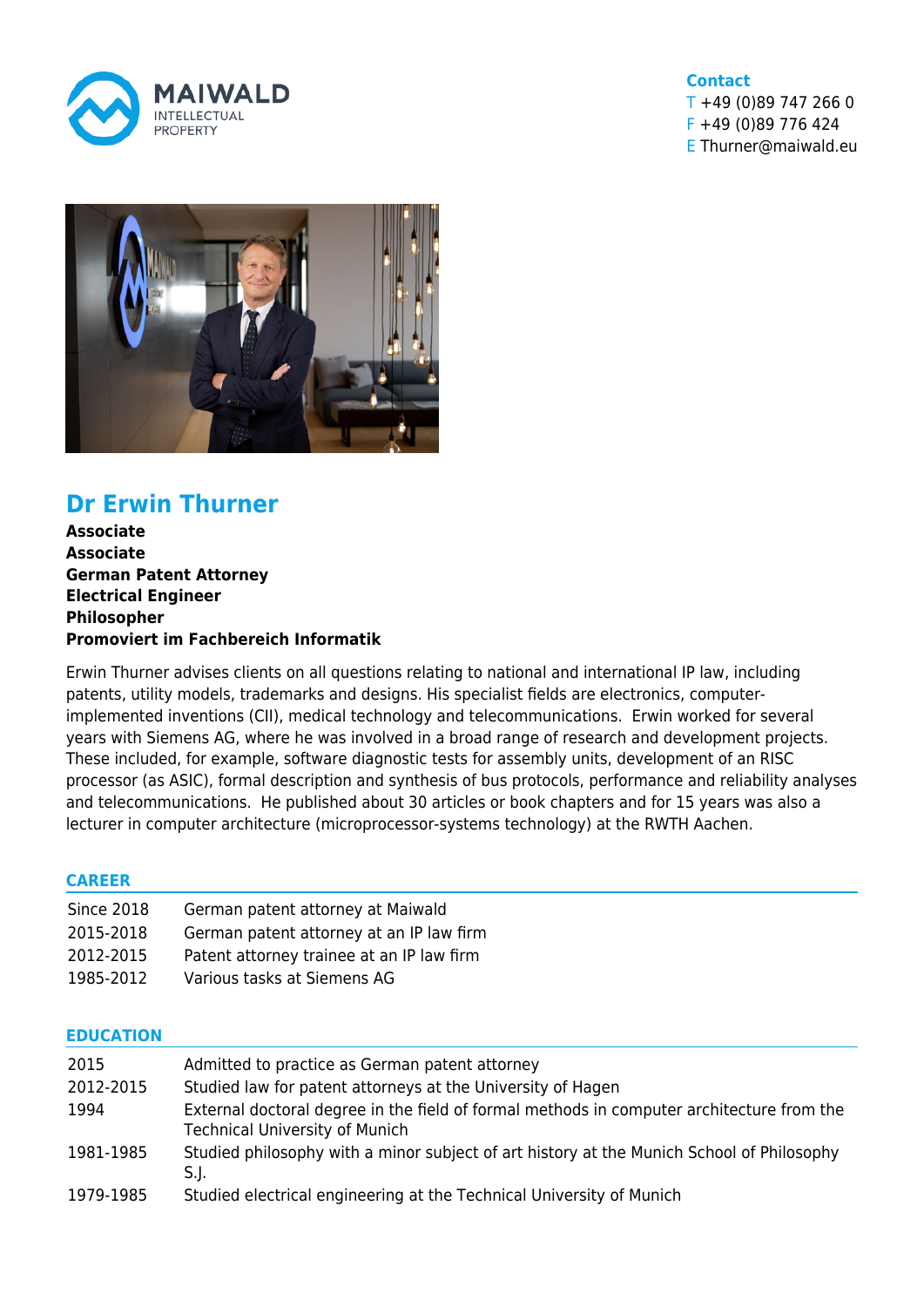

## **Contact** T +49 (0)89 747 266 0

F +49 (0)89 776 424 E Thurner@maiwald.eu



# **Dr Erwin Thurner**

**Associate Associate German Patent Attorney Electrical Engineer Philosopher Promoviert im Fachbereich Informatik**

Erwin Thurner advises clients on all questions relating to national and international IP law, including patents, utility models, trademarks and designs. His specialist fields are electronics, computerimplemented inventions (CII), medical technology and telecommunications. Erwin worked for several years with Siemens AG, where he was involved in a broad range of research and development projects. These included, for example, software diagnostic tests for assembly units, development of an RISC processor (as ASIC), formal description and synthesis of bus protocols, performance and reliability analyses and telecommunications. He published about 30 articles or book chapters and for 15 years was also a lecturer in computer architecture (microprocessor-systems technology) at the RWTH Aachen.

#### **CAREER**

| <b>Since 2018</b> | German patent attorney at Maiwald         |
|-------------------|-------------------------------------------|
| 2015-2018         | German patent attorney at an IP law firm  |
| 2012-2015         | Patent attorney trainee at an IP law firm |
| 1985-2012         | Various tasks at Siemens AG               |

#### **EDUCATION**

| 2015      | Admitted to practice as German patent attorney                                                                                     |
|-----------|------------------------------------------------------------------------------------------------------------------------------------|
| 2012-2015 | Studied law for patent attorneys at the University of Hagen                                                                        |
| 1994      | External doctoral degree in the field of formal methods in computer architecture from the<br><b>Technical University of Munich</b> |
| 1981-1985 | Studied philosophy with a minor subject of art history at the Munich School of Philosophy<br>S.J.                                  |
| 1979-1985 | Studied electrical engineering at the Technical University of Munich                                                               |